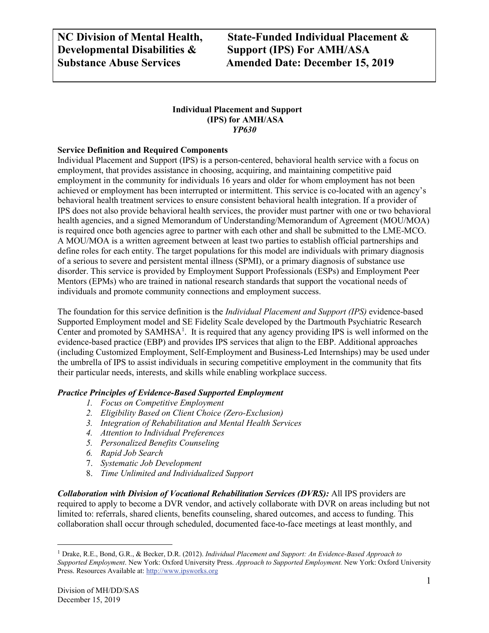**NC Division of Mental Health, State-Funded Individual Placement & Substance Abuse Services Amended Date: December 15, 2019**

#### **Individual Placement and Support (IPS) for AMH/ASA** *YP630*

#### **Service Definition and Required Components**

Individual Placement and Support (IPS) is a person-centered, behavioral health service with a focus on employment, that provides assistance in choosing, acquiring, and maintaining competitive paid employment in the community for individuals 16 years and older for whom employment has not been achieved or employment has been interrupted or intermittent. This service is co-located with an agency's behavioral health treatment services to ensure consistent behavioral health integration. If a provider of IPS does not also provide behavioral health services, the provider must partner with one or two behavioral health agencies, and a signed Memorandum of Understanding/Memorandum of Agreement (MOU/MOA) is required once both agencies agree to partner with each other and shall be submitted to the LME-MCO. A MOU/MOA is a written agreement between at least two parties to establish official partnerships and define roles for each entity. The target populations for this model are individuals with primary diagnosis of a serious to severe and persistent mental illness (SPMI), or a primary diagnosis of substance use disorder. This service is provided by Employment Support Professionals (ESPs) and Employment Peer Mentors (EPMs) who are trained in national research standards that support the vocational needs of individuals and promote community connections and employment success.

The foundation for this service definition is the *Individual Placement and Support (IPS)* evidence-based Supported Employment model and SE Fidelity Scale developed by the Dartmouth Psychiatric Research Center and promoted by SAMHSA<sup>[1](#page-0-0)</sup>. It is required that any agency providing IPS is well informed on the evidence-based practice (EBP) and provides IPS services that align to the EBP. Additional approaches (including Customized Employment, Self-Employment and Business-Led Internships) may be used under the umbrella of IPS to assist individuals in securing competitive employment in the community that fits their particular needs, interests, and skills while enabling workplace success.

#### *Practice Principles of Evidence-Based Supported Employment*

- *1. Focus on Competitive Employment*
- *2. Eligibility Based on Client Choice (Zero-Exclusion)*
- *3. Integration of Rehabilitation and Mental Health Services*
- *4. Attention to Individual Preferences*
- *5. Personalized Benefits Counseling*
- *6. Rapid Job Search*
- 7. *Systematic Job Development*
- 8. *Time Unlimited and Individualized Support*

*Collaboration with Division of Vocational Rehabilitation Services (DVRS):* All IPS providers are required to apply to become a DVR vendor, and actively collaborate with DVR on areas including but not limited to: referrals, shared clients, benefits counseling, shared outcomes, and access to funding. This collaboration shall occur through scheduled, documented face-to-face meetings at least monthly, and

<span id="page-0-0"></span> <sup>1</sup> Drake, R.E., Bond, G.R., & Becker, D.R. (2012). *Individual Placement and Support: An Evidence-Based Approach to Supported Employment*. New York: Oxford University Press. *Approach to Supported Employment.* New York: Oxford University Press. Resources Available at: [http://www.ipsworks.org](http://www.ipsworks.org/)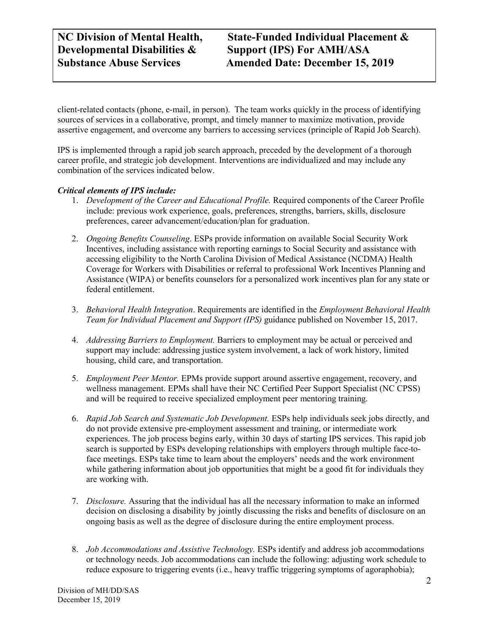**NC Division of Mental Health, State-Funded Individual Placement & Developmental Disabilities & Support (IPS) For AMH/ASA Support (IPS) For AMH/ASA Substance Abuse Services Amended Date: December 15, 2019**

client-related contacts (phone, e-mail, in person).The team works quickly in the process of identifying sources of services in a collaborative, prompt, and timely manner to maximize motivation, provide assertive engagement, and overcome any barriers to accessing services (principle of Rapid Job Search).

IPS is implemented through a rapid job search approach, preceded by the development of a thorough career profile, and strategic job development. Interventions are individualized and may include any combination of the services indicated below.

#### *Critical elements of IPS include:*

- 1. *Development of the Career and Educational Profile.* Required components of the Career Profile include: previous work experience, goals, preferences, strengths, barriers, skills, disclosure preferences, career advancement/education/plan for graduation.
- 2. *Ongoing Benefits Counseling*. ESPs provide information on available Social Security Work Incentives, including assistance with reporting earnings to Social Security and assistance with accessing eligibility to the North Carolina Division of Medical Assistance (NCDMA) Health Coverage for Workers with Disabilities or referral to professional Work Incentives Planning and Assistance (WIPA) or benefits counselors for a personalized work incentives plan for any state or federal entitlement.
- 3. *Behavioral Health Integration*. Requirements are identified in the *Employment Behavioral Health Team for Individual Placement and Support (IPS)* guidance published on November 15, 2017.
- 4. *Addressing Barriers to Employment.* Barriers to employment may be actual or perceived and support may include: addressing justice system involvement, a lack of work history, limited housing, child care, and transportation.
- 5. *Employment Peer Mentor.* EPMs provide support around assertive engagement, recovery, and wellness management. EPMs shall have their NC Certified Peer Support Specialist (NC CPSS) and will be required to receive specialized employment peer mentoring training.
- 6. *Rapid Job Search and Systematic Job Development.* ESPs help individuals seek jobs directly, and do not provide extensive pre-employment assessment and training, or intermediate work experiences. The job process begins early, within 30 days of starting IPS services. This rapid job search is supported by ESPs developing relationships with employers through multiple face-toface meetings. ESPs take time to learn about the employers' needs and the work environment while gathering information about job opportunities that might be a good fit for individuals they are working with.
- 7. *Disclosure.* Assuring that the individual has all the necessary information to make an informed decision on disclosing a disability by jointly discussing the risks and benefits of disclosure on an ongoing basis as well as the degree of disclosure during the entire employment process.
- 8. *Job Accommodations and Assistive Technology.* ESPs identify and address job accommodations or technology needs. Job accommodations can include the following: adjusting work schedule to reduce exposure to triggering events (i.e., heavy traffic triggering symptoms of agoraphobia);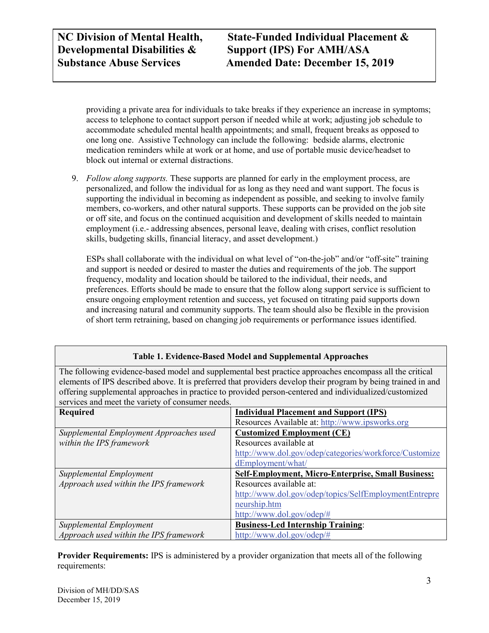**NC Division of Mental Health, State-Funded Individual Placement & Substance Abuse Services Amended Date: December 15, 2019**

providing a private area for individuals to take breaks if they experience an increase in symptoms; access to telephone to contact support person if needed while at work; adjusting job schedule to accommodate scheduled mental health appointments; and small, frequent breaks as opposed to one long one. Assistive Technology can include the following: bedside alarms, electronic medication reminders while at work or at home, and use of portable music device/headset to block out internal or external distractions.

9. *Follow along supports.* These supports are planned for early in the employment process, are personalized, and follow the individual for as long as they need and want support. The focus is supporting the individual in becoming as independent as possible, and seeking to involve family members, co-workers, and other natural supports. These supports can be provided on the job site or off site, and focus on the continued acquisition and development of skills needed to maintain employment (i.e.- addressing absences, personal leave, dealing with crises, conflict resolution skills, budgeting skills, financial literacy, and asset development.)

ESPs shall collaborate with the individual on what level of "on-the-job" and/or "off-site" training and support is needed or desired to master the duties and requirements of the job. The support frequency, modality and location should be tailored to the individual, their needs, and preferences. Efforts should be made to ensure that the follow along support service is sufficient to ensure ongoing employment retention and success, yet focused on titrating paid supports down and increasing natural and community supports. The team should also be flexible in the provision of short term retraining, based on changing job requirements or performance issues identified.

#### **Table 1. Evidence-Based Model and Supplemental Approaches**

The following evidence-based model and supplemental best practice approaches encompass all the critical elements of IPS described above. It is preferred that providers develop their program by being trained in and offering supplemental approaches in practice to provided person-centered and individualized/customized services and meet the variety of consumer needs.

| <b>Required</b>                         | <b>Individual Placement and Support (IPS)</b>             |
|-----------------------------------------|-----------------------------------------------------------|
|                                         | Resources Available at: http://www.ipsworks.org           |
| Supplemental Employment Approaches used | <b>Customized Employment (CE)</b>                         |
| within the IPS framework                | Resources available at                                    |
|                                         | http://www.dol.gov/odep/categories/workforce/Customize    |
|                                         | dEmployment/what/                                         |
| Supplemental Employment                 | <b>Self-Employment, Micro-Enterprise, Small Business:</b> |
| Approach used within the IPS framework  | Resources available at:                                   |
|                                         | http://www.dol.gov/odep/topics/SelfEmploymentEntrepre     |
|                                         | neurship.htm                                              |
|                                         | http://www.dol.gov/odep/#                                 |
| Supplemental Employment                 | <b>Business-Led Internship Training:</b>                  |
| Approach used within the IPS framework  | http://www.dol.gov/odep/#                                 |

**Provider Requirements:** IPS is administered by a provider organization that meets all of the following requirements: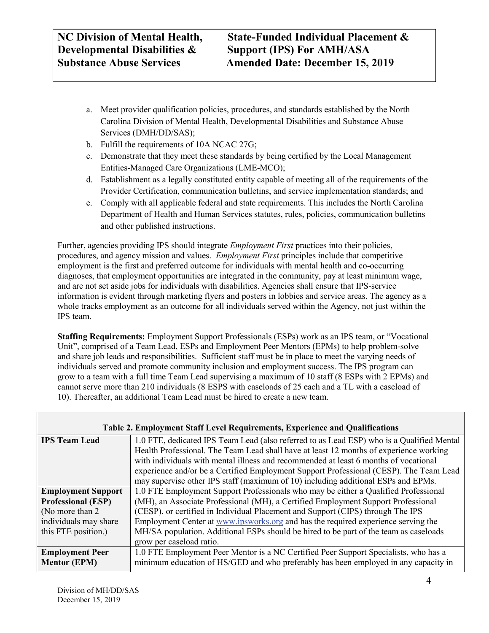- a. Meet provider qualification policies, procedures, and standards established by the North Carolina Division of Mental Health, Developmental Disabilities and Substance Abuse Services (DMH/DD/SAS);
- b. Fulfill the requirements of 10A NCAC 27G;
- c. Demonstrate that they meet these standards by being certified by the Local Management Entities-Managed Care Organizations (LME-MCO);
- d. Establishment as a legally constituted entity capable of meeting all of the requirements of the Provider Certification, communication bulletins, and service implementation standards; and
- e. Comply with all applicable federal and state requirements. This includes the North Carolina Department of Health and Human Services statutes, rules, policies, communication bulletins and other published instructions.

Further, agencies providing IPS should integrate *Employment First* practices into their policies, procedures, and agency mission and values. *Employment First* principles include that competitive employment is the first and preferred outcome for individuals with mental health and co-occurring diagnoses, that employment opportunities are integrated in the community, pay at least minimum wage, and are not set aside jobs for individuals with disabilities. Agencies shall ensure that IPS-service information is evident through marketing flyers and posters in lobbies and service areas. The agency as a whole tracks employment as an outcome for all individuals served within the Agency, not just within the IPS team.

**Staffing Requirements:** Employment Support Professionals (ESPs) work as an IPS team, or "Vocational Unit", comprised of a Team Lead, ESPs and Employment Peer Mentors (EPMs) to help problem-solve and share job leads and responsibilities. Sufficient staff must be in place to meet the varying needs of individuals served and promote community inclusion and employment success. The IPS program can grow to a team with a full time Team Lead supervising a maximum of 10 staff (8 ESPs with 2 EPMs) and cannot serve more than 210 individuals (8 ESPS with caseloads of 25 each and a TL with a caseload of 10). Thereafter, an additional Team Lead must be hired to create a new team.

| <b>Table 2. Employment Staff Level Requirements, Experience and Qualifications</b> |                                                                                           |  |
|------------------------------------------------------------------------------------|-------------------------------------------------------------------------------------------|--|
| <b>IPS Team Lead</b>                                                               | 1.0 FTE, dedicated IPS Team Lead (also referred to as Lead ESP) who is a Qualified Mental |  |
|                                                                                    | Health Professional. The Team Lead shall have at least 12 months of experience working    |  |
|                                                                                    | with individuals with mental illness and recommended at least 6 months of vocational      |  |
|                                                                                    | experience and/or be a Certified Employment Support Professional (CESP). The Team Lead    |  |
|                                                                                    | may supervise other IPS staff (maximum of 10) including additional ESPs and EPMs.         |  |
| <b>Employment Support</b>                                                          | 1.0 FTE Employment Support Professionals who may be either a Qualified Professional       |  |
| <b>Professional (ESP)</b>                                                          | (MH), an Associate Professional (MH), a Certified Employment Support Professional         |  |
| (No more than 2)                                                                   | (CESP), or certified in Individual Placement and Support (CIPS) through The IPS           |  |
| individuals may share                                                              | Employment Center at www.ipsworks.org and has the required experience serving the         |  |
| this FTE position.)                                                                | MH/SA population. Additional ESPs should be hired to be part of the team as caseloads     |  |
|                                                                                    | grow per caseload ratio.                                                                  |  |
| <b>Employment Peer</b>                                                             | 1.0 FTE Employment Peer Mentor is a NC Certified Peer Support Specialists, who has a      |  |
| <b>Mentor (EPM)</b>                                                                | minimum education of HS/GED and who preferably has been employed in any capacity in       |  |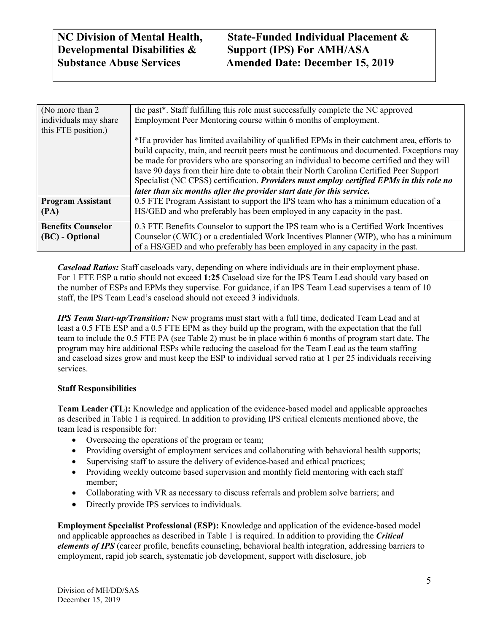## **NC Division of Mental Health, State-Funded Individual Placement & Substance Abuse Services Amended Date: December 15, 2019**

| (No more than 2)          | the past*. Staff fulfilling this role must successfully complete the NC approved                |
|---------------------------|-------------------------------------------------------------------------------------------------|
| individuals may share     | Employment Peer Mentoring course within 6 months of employment.                                 |
| this FTE position.)       |                                                                                                 |
|                           | *If a provider has limited availability of qualified EPMs in their catchment area, efforts to   |
|                           | build capacity, train, and recruit peers must be continuous and documented. Exceptions may      |
|                           | be made for providers who are sponsoring an individual to become certified and they will        |
|                           | have 90 days from their hire date to obtain their North Carolina Certified Peer Support         |
|                           | Specialist (NC CPSS) certification. <i>Providers must employ certified EPMs in this role no</i> |
|                           | later than six months after the provider start date for this service.                           |
| <b>Program Assistant</b>  | 0.5 FTE Program Assistant to support the IPS team who has a minimum education of a              |
| (PA)                      | HS/GED and who preferably has been employed in any capacity in the past.                        |
| <b>Benefits Counselor</b> | 0.3 FTE Benefits Counselor to support the IPS team who is a Certified Work Incentives           |
| (BC) - Optional           | Counselor (CWIC) or a credentialed Work Incentives Planner (WIP), who has a minimum             |
|                           | of a HS/GED and who preferably has been employed in any capacity in the past.                   |

*Caseload Ratios:* Staff caseloads vary, depending on where individuals are in their employment phase. For 1 FTE ESP a ratio should not exceed **1:25** Caseload size for the IPS Team Lead should vary based on the number of ESPs and EPMs they supervise. For guidance, if an IPS Team Lead supervises a team of 10 staff, the IPS Team Lead's caseload should not exceed 3 individuals.

*IPS Team Start-up/Transition:* New programs must start with a full time, dedicated Team Lead and at least a 0.5 FTE ESP and a 0.5 FTE EPM as they build up the program, with the expectation that the full team to include the 0.5 FTE PA (see Table 2) must be in place within 6 months of program start date. The program may hire additional ESPs while reducing the caseload for the Team Lead as the team staffing and caseload sizes grow and must keep the ESP to individual served ratio at 1 per 25 individuals receiving services.

#### **Staff Responsibilities**

**Team Leader (TL):** Knowledge and application of the evidence-based model and applicable approaches as described in Table 1 is required. In addition to providing IPS critical elements mentioned above, the team lead is responsible for:

- Overseeing the operations of the program or team;
- Providing oversight of employment services and collaborating with behavioral health supports;
- Supervising staff to assure the delivery of evidence-based and ethical practices;
- Providing weekly outcome based supervision and monthly field mentoring with each staff member;
- Collaborating with VR as necessary to discuss referrals and problem solve barriers; and
- Directly provide IPS services to individuals.

**Employment Specialist Professional (ESP):** Knowledge and application of the evidence-based model and applicable approaches as described in Table 1 is required. In addition to providing the *Critical elements of IPS* (career profile, benefits counseling, behavioral health integration, addressing barriers to employment, rapid job search, systematic job development, support with disclosure, job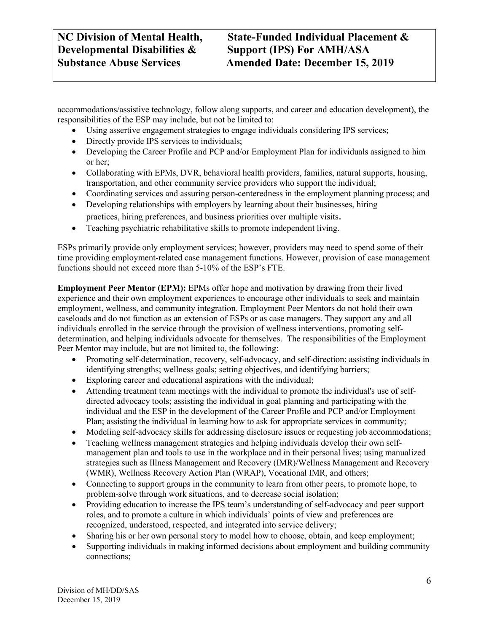accommodations/assistive technology, follow along supports, and career and education development), the responsibilities of the ESP may include, but not be limited to:

- Using assertive engagement strategies to engage individuals considering IPS services;
- Directly provide IPS services to individuals;
- Developing the Career Profile and PCP and/or Employment Plan for individuals assigned to him or her;
- Collaborating with EPMs, DVR, behavioral health providers, families, natural supports, housing, transportation, and other community service providers who support the individual;
- Coordinating services and assuring person-centeredness in the employment planning process; and
- Developing relationships with employers by learning about their businesses, hiring practices, hiring preferences, and business priorities over multiple visits.
- Teaching psychiatric rehabilitative skills to promote independent living.

ESPs primarily provide only employment services; however, providers may need to spend some of their time providing employment-related case management functions. However, provision of case management functions should not exceed more than 5-10% of the ESP's FTE.

**Employment Peer Mentor (EPM):** EPMs offer hope and motivation by drawing from their lived experience and their own employment experiences to encourage other individuals to seek and maintain employment, wellness, and community integration. Employment Peer Mentors do not hold their own caseloads and do not function as an extension of ESPs or as case managers. They support any and all individuals enrolled in the service through the provision of wellness interventions, promoting selfdetermination, and helping individuals advocate for themselves. The responsibilities of the Employment Peer Mentor may include, but are not limited to, the following:

- Promoting self-determination, recovery, self-advocacy, and self-direction; assisting individuals in identifying strengths; wellness goals; setting objectives, and identifying barriers;
- Exploring career and educational aspirations with the individual;
- Attending treatment team meetings with the individual to promote the individual's use of selfdirected advocacy tools; assisting the individual in goal planning and participating with the individual and the ESP in the development of the Career Profile and PCP and/or Employment Plan; assisting the individual in learning how to ask for appropriate services in community;
- Modeling self-advocacy skills for addressing disclosure issues or requesting job accommodations;
- Teaching wellness management strategies and helping individuals develop their own selfmanagement plan and tools to use in the workplace and in their personal lives; using manualized strategies such as Illness Management and Recovery (IMR)/Wellness Management and Recovery (WMR), Wellness Recovery Action Plan (WRAP), Vocational IMR, and others;
- Connecting to support groups in the community to learn from other peers, to promote hope, to problem-solve through work situations, and to decrease social isolation;
- Providing education to increase the IPS team's understanding of self-advocacy and peer support roles, and to promote a culture in which individuals' points of view and preferences are recognized, understood, respected, and integrated into service delivery;
- Sharing his or her own personal story to model how to choose, obtain, and keep employment;
- Supporting individuals in making informed decisions about employment and building community connections;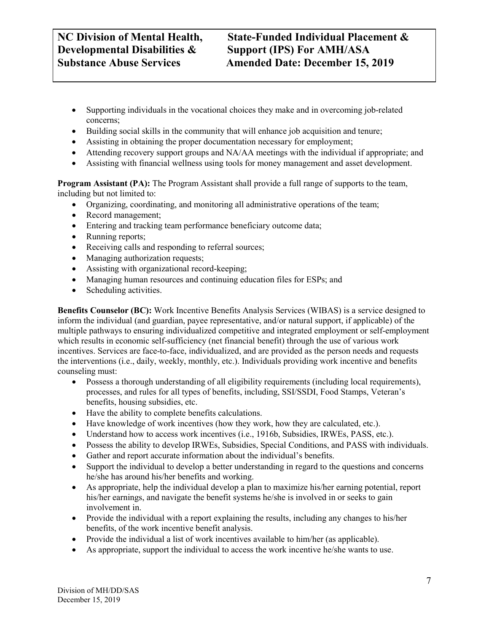- Supporting individuals in the vocational choices they make and in overcoming job-related concerns;
- Building social skills in the community that will enhance job acquisition and tenure;
- Assisting in obtaining the proper documentation necessary for employment;
- Attending recovery support groups and NA/AA meetings with the individual if appropriate; and
- Assisting with financial wellness using tools for money management and asset development.

**Program Assistant (PA):** The Program Assistant shall provide a full range of supports to the team, including but not limited to:

- Organizing, coordinating, and monitoring all administrative operations of the team;
- Record management;
- Entering and tracking team performance beneficiary outcome data;
- Running reports;
- Receiving calls and responding to referral sources;
- Managing authorization requests;
- Assisting with organizational record-keeping;
- Managing human resources and continuing education files for ESPs; and
- Scheduling activities.

**Benefits Counselor (BC):** Work Incentive Benefits Analysis Services (WIBAS) is a service designed to inform the individual (and guardian, payee representative, and/or natural support, if applicable) of the multiple pathways to ensuring individualized competitive and integrated employment or self-employment which results in economic self-sufficiency (net financial benefit) through the use of various work incentives. Services are face-to-face, individualized, and are provided as the person needs and requests the interventions (i.e., daily, weekly, monthly, etc.). Individuals providing work incentive and benefits counseling must:

- Possess a thorough understanding of all eligibility requirements (including local requirements), processes, and rules for all types of benefits, including, SSI/SSDI, Food Stamps, Veteran's benefits, housing subsidies, etc.
- Have the ability to complete benefits calculations.
- Have knowledge of work incentives (how they work, how they are calculated, etc.).
- Understand how to access work incentives (i.e., 1916b, Subsidies, IRWEs, PASS, etc.).
- Possess the ability to develop IRWEs, Subsidies, Special Conditions, and PASS with individuals.
- Gather and report accurate information about the individual's benefits.
- Support the individual to develop a better understanding in regard to the questions and concerns he/she has around his/her benefits and working.
- As appropriate, help the individual develop a plan to maximize his/her earning potential, report his/her earnings, and navigate the benefit systems he/she is involved in or seeks to gain involvement in.
- Provide the individual with a report explaining the results, including any changes to his/her benefits, of the work incentive benefit analysis.
- Provide the individual a list of work incentives available to him/her (as applicable).
- As appropriate, support the individual to access the work incentive he/she wants to use.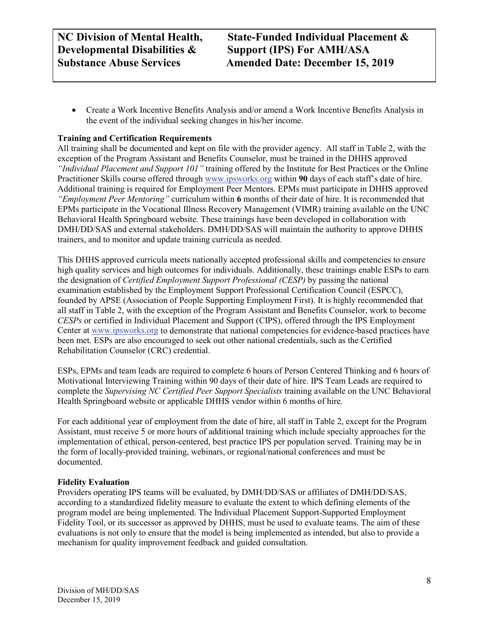**NC Division of Mental Health, State-Funded Individual Placement & Substance Abuse Services Amended Date: December 15, 2019**

• Create a Work Incentive Benefits Analysis and/or amend a Work Incentive Benefits Analysis in the event of the individual seeking changes in his/her income.

#### **Training and Certification Requirements**

All training shall be documented and kept on file with the provider agency. All staff in Table 2, with the exception of the Program Assistant and Benefits Counselor, must be trained in the DHHS approved *"Individual Placement and Support 101"* training offered by the Institute for Best Practices or the Online Practitioner Skills course offered through [www.ipsworks.org](http://www.ipsworks.org/) within **90** days of each staff's date of hire. Additional training is required for Employment Peer Mentors. EPMs must participate in DHHS approved *"Employment Peer Mentoring"* curriculum within **6** months of their date of hire. It is recommended that EPMs participate in the Vocational Illness Recovery Management (VIMR) training available on the UNC Behavioral Health Springboard website. These trainings have been developed in collaboration with DMH/DD/SAS and external stakeholders. DMH/DD/SAS will maintain the authority to approve DHHS trainers, and to monitor and update training curricula as needed.

This DHHS approved curricula meets nationally accepted professional skills and competencies to ensure high quality services and high outcomes for individuals. Additionally, these trainings enable ESPs to earn the designation of *Certified Employment Support Professional (CESP)* by passing the national examination established by the Employment Support Professional Certification Council (ESPCC), founded by APSE (Association of People Supporting Employment First). It is highly recommended that all staff in Table 2, with the exception of the Program Assistant and Benefits Counselor, work to become *CESPs* or certified in Individual Placement and Support (CIPS), offered through the IPS Employment Center at [www.ipsworks.org](http://www.ipsworks.org/) to demonstrate that national competencies for evidence-based practices have been met. ESPs are also encouraged to seek out other national credentials, such as the Certified Rehabilitation Counselor (CRC) credential.

ESPs, EPMs and team leads are required to complete 6 hours of Person Centered Thinking and 6 hours of Motivational Interviewing Training within 90 days of their date of hire. IPS Team Leads are required to complete the *Supervising NC Certified Peer Support Specialists* training available on the UNC Behavioral Health Springboard website or applicable DHHS vendor within 6 months of hire.

For each additional year of employment from the date of hire, all staff in Table 2, except for the Program Assistant, must receive 5 or more hours of additional training which include specialty approaches for the implementation of ethical, person-centered, best practice IPS per population served. Training may be in the form of locally-provided training, webinars, or regional/national conferences and must be documented.

#### **Fidelity Evaluation**

Providers operating IPS teams will be evaluated, by DMH/DD/SAS or affiliates of DMH/DD/SAS, according to a standardized fidelity measure to evaluate the extent to which defining elements of the program model are being implemented. The Individual Placement Support-Supported Employment Fidelity Tool, or its successor as approved by DHHS, must be used to evaluate teams. The aim of these evaluations is not only to ensure that the model is being implemented as intended, but also to provide a mechanism for quality improvement feedback and guided consultation.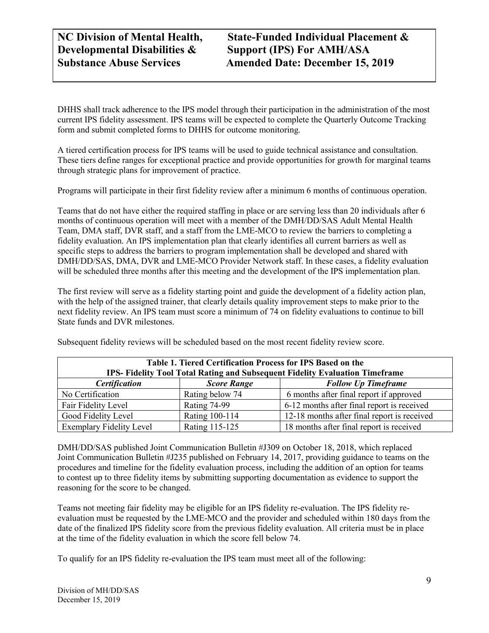**NC Division of Mental Health, State-Funded Individual Placement & Substance Abuse Services Amended Date: December 15, 2019**

DHHS shall track adherence to the IPS model through their participation in the administration of the most current IPS fidelity assessment. IPS teams will be expected to complete the Quarterly Outcome Tracking form and submit completed forms to DHHS for outcome monitoring.

A tiered certification process for IPS teams will be used to guide technical assistance and consultation. These tiers define ranges for exceptional practice and provide opportunities for growth for marginal teams through strategic plans for improvement of practice.

Programs will participate in their first fidelity review after a minimum 6 months of continuous operation.

Teams that do not have either the required staffing in place or are serving less than 20 individuals after 6 months of continuous operation will meet with a member of the DMH/DD/SAS Adult Mental Health Team, DMA staff, DVR staff, and a staff from the LME-MCO to review the barriers to completing a fidelity evaluation. An IPS implementation plan that clearly identifies all current barriers as well as specific steps to address the barriers to program implementation shall be developed and shared with DMH/DD/SAS, DMA, DVR and LME-MCO Provider Network staff. In these cases, a fidelity evaluation will be scheduled three months after this meeting and the development of the IPS implementation plan.

The first review will serve as a fidelity starting point and guide the development of a fidelity action plan, with the help of the assigned trainer, that clearly details quality improvement steps to make prior to the next fidelity review. An IPS team must score a minimum of 74 on fidelity evaluations to continue to bill State funds and DVR milestones.

Subsequent fidelity reviews will be scheduled based on the most recent fidelity review score.

| Table 1. Tiered Certification Process for IPS Based on the<br>IPS- Fidelity Tool Total Rating and Subsequent Fidelity Evaluation Timeframe |                    |                                             |  |
|--------------------------------------------------------------------------------------------------------------------------------------------|--------------------|---------------------------------------------|--|
| <b>Certification</b>                                                                                                                       | <b>Score Range</b> | <b>Follow Up Timeframe</b>                  |  |
| No Certification                                                                                                                           | Rating below 74    | 6 months after final report if approved     |  |
| Fair Fidelity Level                                                                                                                        | Rating 74-99       | 6-12 months after final report is received  |  |
| Good Fidelity Level                                                                                                                        | Rating 100-114     | 12-18 months after final report is received |  |
| <b>Exemplary Fidelity Level</b>                                                                                                            | Rating 115-125     | 18 months after final report is received    |  |

DMH/DD/SAS published Joint Communication Bulletin #J309 on October 18, 2018, which replaced Joint Communication Bulletin #J235 published on February 14, 2017, providing guidance to teams on the procedures and timeline for the fidelity evaluation process, including the addition of an option for teams to contest up to three fidelity items by submitting supporting documentation as evidence to support the reasoning for the score to be changed.

Teams not meeting fair fidelity may be eligible for an IPS fidelity re-evaluation. The IPS fidelity reevaluation must be requested by the LME-MCO and the provider and scheduled within 180 days from the date of the finalized IPS fidelity score from the previous fidelity evaluation. All criteria must be in place at the time of the fidelity evaluation in which the score fell below 74.

To qualify for an IPS fidelity re-evaluation the IPS team must meet all of the following: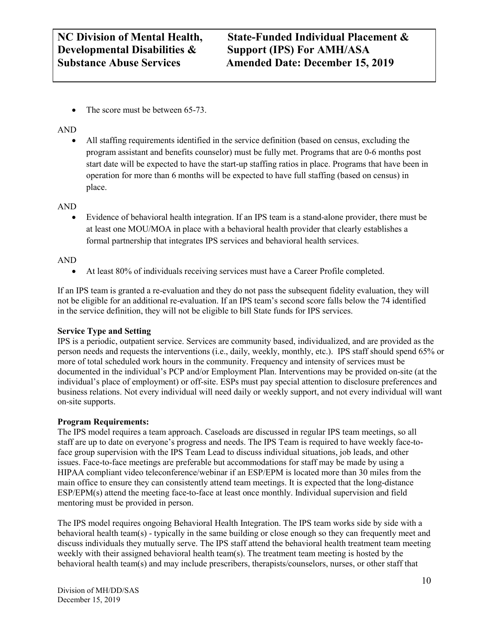• The score must be between 65-73.

#### AND

• All staffing requirements identified in the service definition (based on census, excluding the program assistant and benefits counselor) must be fully met. Programs that are 0-6 months post start date will be expected to have the start-up staffing ratios in place. Programs that have been in operation for more than 6 months will be expected to have full staffing (based on census) in place.

#### AND

• Evidence of behavioral health integration. If an IPS team is a stand-alone provider, there must be at least one MOU/MOA in place with a behavioral health provider that clearly establishes a formal partnership that integrates IPS services and behavioral health services.

#### AND

• At least 80% of individuals receiving services must have a Career Profile completed.

If an IPS team is granted a re-evaluation and they do not pass the subsequent fidelity evaluation, they will not be eligible for an additional re-evaluation. If an IPS team's second score falls below the 74 identified in the service definition, they will not be eligible to bill State funds for IPS services.

#### **Service Type and Setting**

IPS is a periodic, outpatient service. Services are community based, individualized, and are provided as the person needs and requests the interventions (i.e., daily, weekly, monthly, etc.). IPS staff should spend 65% or more of total scheduled work hours in the community. Frequency and intensity of services must be documented in the individual's PCP and/or Employment Plan. Interventions may be provided on-site (at the individual's place of employment) or off-site. ESPs must pay special attention to disclosure preferences and business relations. Not every individual will need daily or weekly support, and not every individual will want on-site supports.

#### **Program Requirements:**

The IPS model requires a team approach. Caseloads are discussed in regular IPS team meetings, so all staff are up to date on everyone's progress and needs. The IPS Team is required to have weekly face-toface group supervision with the IPS Team Lead to discuss individual situations, job leads, and other issues. Face-to-face meetings are preferable but accommodations for staff may be made by using a HIPAA compliant video teleconference/webinar if an ESP/EPM is located more than 30 miles from the main office to ensure they can consistently attend team meetings. It is expected that the long-distance ESP/EPM(s) attend the meeting face-to-face at least once monthly. Individual supervision and field mentoring must be provided in person.

The IPS model requires ongoing Behavioral Health Integration. The IPS team works side by side with a behavioral health team(s) - typically in the same building or close enough so they can frequently meet and discuss individuals they mutually serve. The IPS staff attend the behavioral health treatment team meeting weekly with their assigned behavioral health team(s). The treatment team meeting is hosted by the behavioral health team(s) and may include prescribers, therapists/counselors, nurses, or other staff that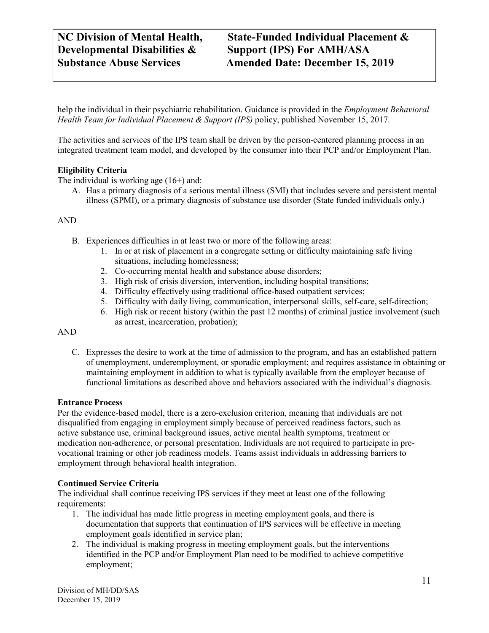help the individual in their psychiatric rehabilitation. Guidance is provided in the *Employment Behavioral Health Team for Individual Placement & Support (IPS)* policy, published November 15, 2017.

The activities and services of the IPS team shall be driven by the person-centered planning process in an integrated treatment team model, and developed by the consumer into their PCP and/or Employment Plan.

#### **Eligibility Criteria**

The individual is working age (16+) and:

A. Has a primary diagnosis of a serious mental illness (SMI) that includes severe and persistent mental illness (SPMI), or a primary diagnosis of substance use disorder (State funded individuals only.)

#### AND

- B. Experiences difficulties in at least two or more of the following areas:
	- 1. In or at risk of placement in a congregate setting or difficulty maintaining safe living situations, including homelessness;
	- 2. Co-occurring mental health and substance abuse disorders;
	- 3. High risk of crisis diversion, intervention, including hospital transitions;
	- 4. Difficulty effectively using traditional office-based outpatient services;
	- 5. Difficulty with daily living, communication, interpersonal skills, self-care, self-direction;
	- 6. High risk or recent history (within the past 12 months) of criminal justice involvement (such as arrest, incarceration, probation);

#### AND

C. Expresses the desire to work at the time of admission to the program, and has an established pattern of unemployment, underemployment, or sporadic employment; and requires assistance in obtaining or maintaining employment in addition to what is typically available from the employer because of functional limitations as described above and behaviors associated with the individual's diagnosis.

#### **Entrance Process**

Per the evidence-based model, there is a zero-exclusion criterion, meaning that individuals are not disqualified from engaging in employment simply because of perceived readiness factors, such as active substance use, criminal background issues, active mental health symptoms, treatment or medication non-adherence, or personal presentation. Individuals are not required to participate in prevocational training or other job readiness models. Teams assist individuals in addressing barriers to employment through behavioral health integration.

#### **Continued Service Criteria**

The individual shall continue receiving IPS services if they meet at least one of the following requirements:

- 1. The individual has made little progress in meeting employment goals, and there is documentation that supports that continuation of IPS services will be effective in meeting employment goals identified in service plan;
- 2. The individual is making progress in meeting employment goals, but the interventions identified in the PCP and/or Employment Plan need to be modified to achieve competitive employment;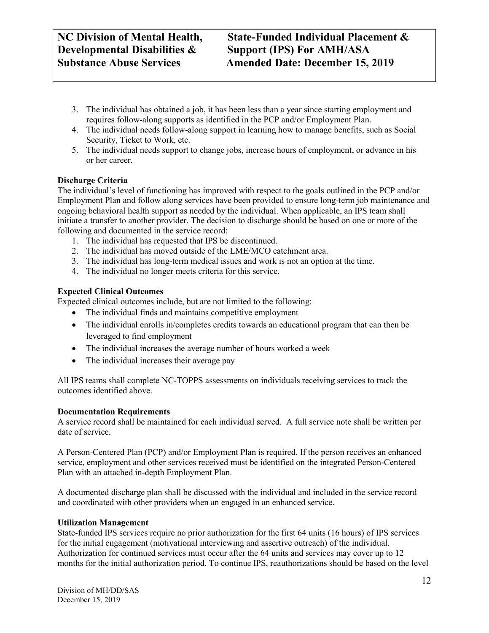## **NC Division of Mental Health, State-Funded Individual Placement & Substance Abuse Services Amended Date: December 15, 2019**

- 3. The individual has obtained a job, it has been less than a year since starting employment and requires follow-along supports as identified in the PCP and/or Employment Plan.
- 4. The individual needs follow-along support in learning how to manage benefits, such as Social Security, Ticket to Work, etc.
- 5. The individual needs support to change jobs, increase hours of employment, or advance in his or her career.

#### **Discharge Criteria**

The individual's level of functioning has improved with respect to the goals outlined in the PCP and/or Employment Plan and follow along services have been provided to ensure long-term job maintenance and ongoing behavioral health support as needed by the individual. When applicable, an IPS team shall initiate a transfer to another provider. The decision to discharge should be based on one or more of the following and documented in the service record:

- 1. The individual has requested that IPS be discontinued.
- 2. The individual has moved outside of the LME/MCO catchment area.
- 3. The individual has long-term medical issues and work is not an option at the time.
- 4. The individual no longer meets criteria for this service.

#### **Expected Clinical Outcomes**

Expected clinical outcomes include, but are not limited to the following:

- The individual finds and maintains competitive employment
- The individual enrolls in/completes credits towards an educational program that can then be leveraged to find employment
- The individual increases the average number of hours worked a week
- The individual increases their average pay

All IPS teams shall complete NC-TOPPS assessments on individuals receiving services to track the outcomes identified above.

#### **Documentation Requirements**

A service record shall be maintained for each individual served. A full service note shall be written per date of service.

A Person-Centered Plan (PCP) and/or Employment Plan is required. If the person receives an enhanced service, employment and other services received must be identified on the integrated Person-Centered Plan with an attached in-depth Employment Plan.

A documented discharge plan shall be discussed with the individual and included in the service record and coordinated with other providers when an engaged in an enhanced service.

#### **Utilization Management**

State-funded IPS services require no prior authorization for the first 64 units (16 hours) of IPS services for the initial engagement (motivational interviewing and assertive outreach) of the individual. Authorization for continued services must occur after the 64 units and services may cover up to 12 months for the initial authorization period. To continue IPS, reauthorizations should be based on the level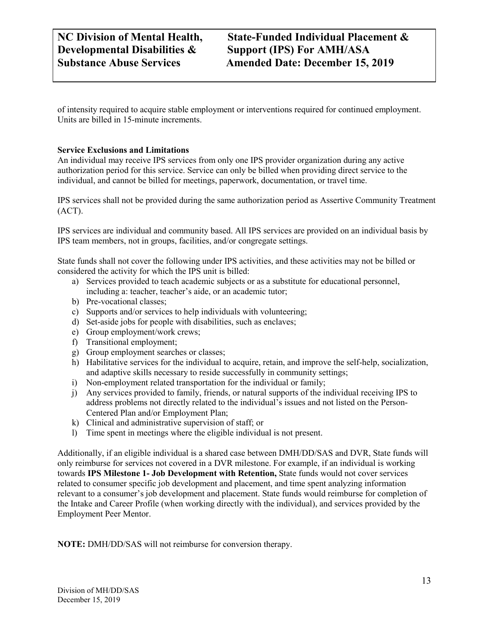of intensity required to acquire stable employment or interventions required for continued employment. Units are billed in 15-minute increments.

#### **Service Exclusions and Limitations**

An individual may receive IPS services from only one IPS provider organization during any active authorization period for this service. Service can only be billed when providing direct service to the individual, and cannot be billed for meetings, paperwork, documentation, or travel time.

IPS services shall not be provided during the same authorization period as Assertive Community Treatment (ACT).

IPS services are individual and community based. All IPS services are provided on an individual basis by IPS team members, not in groups, facilities, and/or congregate settings.

State funds shall not cover the following under IPS activities, and these activities may not be billed or considered the activity for which the IPS unit is billed:

- a) Services provided to teach academic subjects or as a substitute for educational personnel, including a: teacher, teacher's aide, or an academic tutor;
- b) Pre-vocational classes;
- c) Supports and/or services to help individuals with volunteering;
- d) Set-aside jobs for people with disabilities, such as enclaves;
- e) Group employment/work crews;
- f) Transitional employment;
- g) Group employment searches or classes;
- h) Habilitative services for the individual to acquire, retain, and improve the self-help, socialization, and adaptive skills necessary to reside successfully in community settings;
- i) Non-employment related transportation for the individual or family;
- j) Any services provided to family, friends, or natural supports of the individual receiving IPS to address problems not directly related to the individual's issues and not listed on the Person-Centered Plan and/or Employment Plan;
- k) Clinical and administrative supervision of staff; or
- l) Time spent in meetings where the eligible individual is not present.

Additionally, if an eligible individual is a shared case between DMH/DD/SAS and DVR, State funds will only reimburse for services not covered in a DVR milestone. For example, if an individual is working towards **IPS Milestone 1- Job Development with Retention,** State funds would not cover services related to consumer specific job development and placement, and time spent analyzing information relevant to a consumer's job development and placement. State funds would reimburse for completion of the Intake and Career Profile (when working directly with the individual), and services provided by the Employment Peer Mentor.

**NOTE:** DMH/DD/SAS will not reimburse for conversion therapy.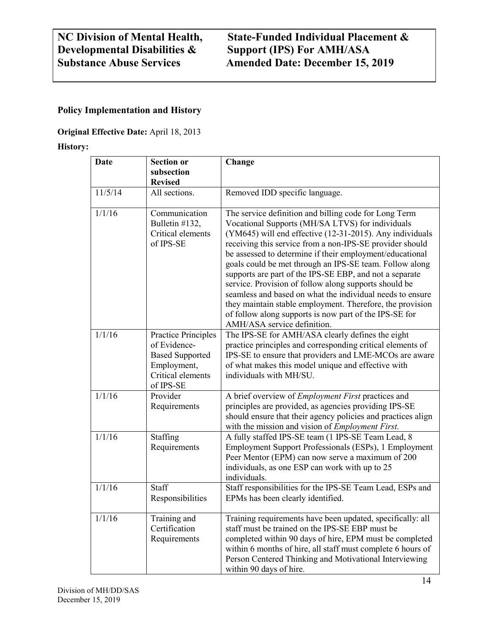## **NC Division of Mental Health, State-Funded Individual Placement & Developmental Disabilities & Support (IPS) For AMH/ASA Substance Abuse Services Amended Date: December 15, 2019**

#### **Policy Implementation and History**

#### **Original Effective Date:** April 18, 2013

#### **History:**

| <b>Date</b> | <b>Section or</b><br>subsection                                                                                       | Change                                                                                                                                                                                                                                                                                                                                                                                                                                                                                                                                                                                                                                                                                          |
|-------------|-----------------------------------------------------------------------------------------------------------------------|-------------------------------------------------------------------------------------------------------------------------------------------------------------------------------------------------------------------------------------------------------------------------------------------------------------------------------------------------------------------------------------------------------------------------------------------------------------------------------------------------------------------------------------------------------------------------------------------------------------------------------------------------------------------------------------------------|
|             | <b>Revised</b>                                                                                                        |                                                                                                                                                                                                                                                                                                                                                                                                                                                                                                                                                                                                                                                                                                 |
| 11/5/14     | All sections.                                                                                                         | Removed IDD specific language.                                                                                                                                                                                                                                                                                                                                                                                                                                                                                                                                                                                                                                                                  |
| 1/1/16      | Communication<br>Bulletin #132,<br>Critical elements<br>of IPS-SE                                                     | The service definition and billing code for Long Term<br>Vocational Supports (MH/SA LTVS) for individuals<br>(YM645) will end effective (12-31-2015). Any individuals<br>receiving this service from a non-IPS-SE provider should<br>be assessed to determine if their employment/educational<br>goals could be met through an IPS-SE team. Follow along<br>supports are part of the IPS-SE EBP, and not a separate<br>service. Provision of follow along supports should be<br>seamless and based on what the individual needs to ensure<br>they maintain stable employment. Therefore, the provision<br>of follow along supports is now part of the IPS-SE for<br>AMH/ASA service definition. |
| 1/1/16      | <b>Practice Principles</b><br>of Evidence-<br><b>Based Supported</b><br>Employment,<br>Critical elements<br>of IPS-SE | The IPS-SE for AMH/ASA clearly defines the eight<br>practice principles and corresponding critical elements of<br>IPS-SE to ensure that providers and LME-MCOs are aware<br>of what makes this model unique and effective with<br>individuals with MH/SU.                                                                                                                                                                                                                                                                                                                                                                                                                                       |
| 1/1/16      | Provider<br>Requirements                                                                                              | A brief overview of <i>Employment First</i> practices and<br>principles are provided, as agencies providing IPS-SE<br>should ensure that their agency policies and practices align<br>with the mission and vision of <i>Employment First</i> .                                                                                                                                                                                                                                                                                                                                                                                                                                                  |
| 1/1/16      | Staffing<br>Requirements                                                                                              | A fully staffed IPS-SE team (1 IPS-SE Team Lead, 8<br>Employment Support Professionals (ESPs), 1 Employment<br>Peer Mentor (EPM) can now serve a maximum of 200<br>individuals, as one ESP can work with up to 25<br>individuals.                                                                                                                                                                                                                                                                                                                                                                                                                                                               |
| 1/1/16      | Staff<br>Responsibilities                                                                                             | Staff responsibilities for the IPS-SE Team Lead, ESPs and<br>EPMs has been clearly identified.                                                                                                                                                                                                                                                                                                                                                                                                                                                                                                                                                                                                  |
| 1/1/16      | Training and<br>Certification<br>Requirements                                                                         | Training requirements have been updated, specifically: all<br>staff must be trained on the IPS-SE EBP must be<br>completed within 90 days of hire, EPM must be completed<br>within 6 months of hire, all staff must complete 6 hours of<br>Person Centered Thinking and Motivational Interviewing<br>within 90 days of hire.                                                                                                                                                                                                                                                                                                                                                                    |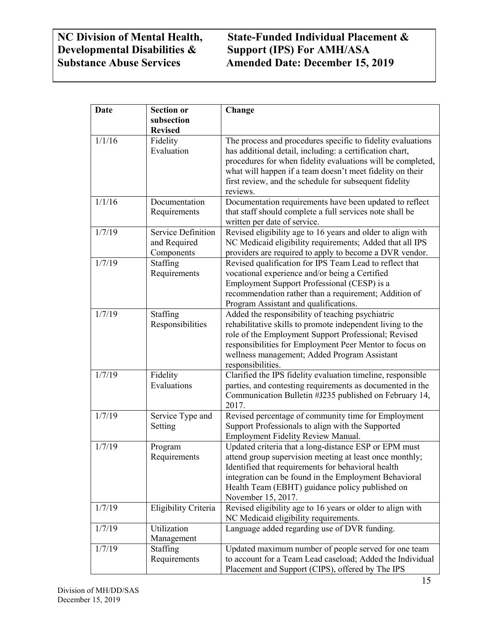#### **NC Division of Mental Health, State-Funded Individual Placement & Developmental Disabilities & Support (IPS) For AMH/ASA Support (IPS) For AMH/ASA Substance Abuse Services Amended Date: December 15, 2019**

| <b>Date</b> | <b>Section or</b>                                | Change                                                                                                                                                                                                                                                                                                                    |
|-------------|--------------------------------------------------|---------------------------------------------------------------------------------------------------------------------------------------------------------------------------------------------------------------------------------------------------------------------------------------------------------------------------|
|             | subsection<br><b>Revised</b>                     |                                                                                                                                                                                                                                                                                                                           |
| 1/1/16      | Fidelity<br>Evaluation                           | The process and procedures specific to fidelity evaluations<br>has additional detail, including: a certification chart,<br>procedures for when fidelity evaluations will be completed,<br>what will happen if a team doesn't meet fidelity on their<br>first review, and the schedule for subsequent fidelity<br>reviews. |
| 1/1/16      | Documentation<br>Requirements                    | Documentation requirements have been updated to reflect<br>that staff should complete a full services note shall be<br>written per date of service.                                                                                                                                                                       |
| 1/7/19      | Service Definition<br>and Required<br>Components | Revised eligibility age to 16 years and older to align with<br>NC Medicaid eligibility requirements; Added that all IPS<br>providers are required to apply to become a DVR vendor.                                                                                                                                        |
| 1/7/19      | Staffing<br>Requirements                         | Revised qualification for IPS Team Lead to reflect that<br>vocational experience and/or being a Certified<br>Employment Support Professional (CESP) is a<br>recommendation rather than a requirement; Addition of<br>Program Assistant and qualifications.                                                                |
| 1/7/19      | Staffing<br>Responsibilities                     | Added the responsibility of teaching psychiatric<br>rehabilitative skills to promote independent living to the<br>role of the Employment Support Professional; Revised<br>responsibilities for Employment Peer Mentor to focus on<br>wellness management; Added Program Assistant<br>responsibilities.                    |
| 1/7/19      | Fidelity<br>Evaluations                          | Clarified the IPS fidelity evaluation timeline, responsible<br>parties, and contesting requirements as documented in the<br>Communication Bulletin #J235 published on February 14,<br>2017.                                                                                                                               |
| 1/7/19      | Service Type and<br>Setting                      | Revised percentage of community time for Employment<br>Support Professionals to align with the Supported<br>Employment Fidelity Review Manual.                                                                                                                                                                            |
| 1/7/19      | Program<br>Requirements                          | Updated criteria that a long-distance ESP or EPM must<br>attend group supervision meeting at least once monthly;<br>Identified that requirements for behavioral health<br>integration can be found in the Employment Behavioral<br>Health Team (EBHT) guidance policy published on<br>November 15, 2017.                  |
| 1/7/19      | Eligibility Criteria                             | Revised eligibility age to 16 years or older to align with<br>NC Medicaid eligibility requirements.                                                                                                                                                                                                                       |
| 1/7/19      | Utilization<br>Management                        | Language added regarding use of DVR funding.                                                                                                                                                                                                                                                                              |
| 1/7/19      | Staffing<br>Requirements                         | Updated maximum number of people served for one team<br>to account for a Team Lead caseload; Added the Individual<br>Placement and Support (CIPS), offered by The IPS                                                                                                                                                     |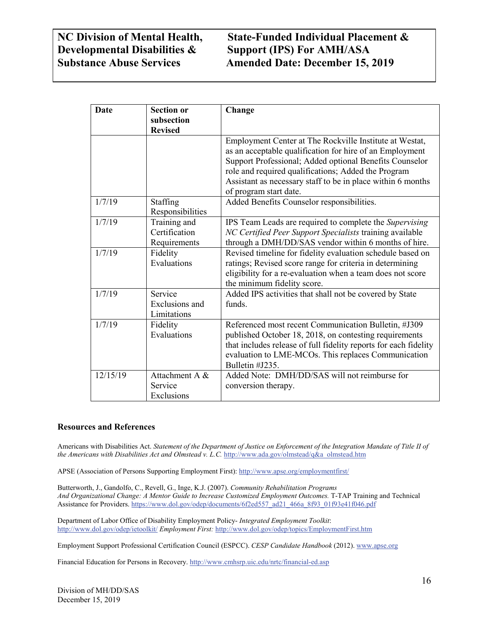## **NC Division of Mental Health, State-Funded Individual Placement & Substance Abuse Services Amended Date: December 15, 2019**

| Date     | <b>Section or</b>                             | Change                                                                                                                                                                                                                                                                                                                         |
|----------|-----------------------------------------------|--------------------------------------------------------------------------------------------------------------------------------------------------------------------------------------------------------------------------------------------------------------------------------------------------------------------------------|
|          | subsection<br><b>Revised</b>                  |                                                                                                                                                                                                                                                                                                                                |
|          |                                               | Employment Center at The Rockville Institute at Westat,<br>as an acceptable qualification for hire of an Employment<br>Support Professional; Added optional Benefits Counselor<br>role and required qualifications; Added the Program<br>Assistant as necessary staff to be in place within 6 months<br>of program start date. |
| 1/7/19   | Staffing<br>Responsibilities                  | Added Benefits Counselor responsibilities.                                                                                                                                                                                                                                                                                     |
| 1/7/19   | Training and<br>Certification<br>Requirements | IPS Team Leads are required to complete the Supervising<br>NC Certified Peer Support Specialists training available<br>through a DMH/DD/SAS vendor within 6 months of hire.                                                                                                                                                    |
| 1/7/19   | Fidelity<br>Evaluations                       | Revised timeline for fidelity evaluation schedule based on<br>ratings; Revised score range for criteria in determining<br>eligibility for a re-evaluation when a team does not score<br>the minimum fidelity score.                                                                                                            |
| 1/7/19   | Service<br>Exclusions and<br>Limitations      | Added IPS activities that shall not be covered by State<br>funds.                                                                                                                                                                                                                                                              |
| 1/7/19   | Fidelity<br>Evaluations                       | Referenced most recent Communication Bulletin, #J309<br>published October 18, 2018, on contesting requirements<br>that includes release of full fidelity reports for each fidelity<br>evaluation to LME-MCOs. This replaces Communication<br>Bulletin #J235.                                                                   |
| 12/15/19 | Attachment A &<br>Service<br>Exclusions       | Added Note: DMH/DD/SAS will not reimburse for<br>conversion therapy.                                                                                                                                                                                                                                                           |

#### **Resources and References**

Americans with Disabilities Act. *Statement of the Department of Justice on Enforcement of the Integration Mandate of Title II of the Americans with Disabilities Act and Olmstead v. L.C.* [http://www.ada.gov/olmstead/q&a\\_olmstead.htm](http://www.ada.gov/olmstead/q&a_olmstead.htm)

APSE (Association of Persons Supporting Employment First)[: http://www.apse.org/employmentfirst/](http://www.apse.org/employmentfirst/)

Butterworth, J., Gandolfo, C., Revell, G., Inge, K.J. (2007). *Community Rehabilitation Programs And Organizational Change: A Mentor Guide to Increase Customized Employment Outcomes.* T-TAP Training and Technical Assistance for Providers[. https://www.dol.gov/odep/documents/6f2ed557\\_ad21\\_466a\\_8f93\\_01f93e41f046.pdf](https://www.dol.gov/odep/documents/6f2ed557_ad21_466a_8f93_01f93e41f046.pdf)

Department of Labor Office of Disability Employment Policy- *Integrated Employment Toolkit*: <http://www.dol.gov/odep/ietoolkit/> *Employment First:* <http://www.dol.gov/odep/topics/EmploymentFirst.htm>

Employment Support Professional Certification Council (ESPCC). *CESP Candidate Handbook* (2012)[. www.apse.org](http://www.apse.org/)

Financial Education for Persons in Recovery[. http://www.cmhsrp.uic.edu/nrtc/financial-ed.asp](http://www.cmhsrp.uic.edu/nrtc/financial-ed.asp)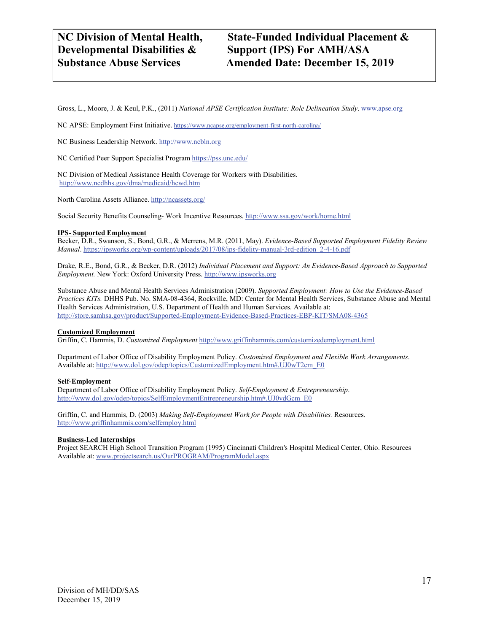Gross, L., Moore, J. & Keul, P.K., (2011) *National APSE Certification Institute: Role Delineation Study*[. www.apse.org](http://www.apse.org/)

NC APSE: Employment First Initiative. <https://www.ncapse.org/employment-first-north-carolina/>

NC Business Leadership Network[. http://www.ncbln.org](http://www.ncbln.org/)

NC Certified Peer Support Specialist Program <https://pss.unc.edu/>

NC Division of Medical Assistance Health Coverage for Workers with Disabilities. <http://www.ncdhhs.gov/dma/medicaid/hcwd.htm>

North Carolina Assets Alliance.<http://ncassets.org/>

Social Security Benefits Counseling- Work Incentive Resources[. http://www.ssa.gov/work/home.html](http://www.ssa.gov/work/home.html)

#### **IPS- Supported Employment**

Becker, D.R., Swanson, S., Bond, G.R., & Merrens, M.R. (2011, May). *Evidence-Based Supported Employment Fidelity Review Manual*[. https://ipsworks.org/wp-content/uploads/2017/08/ips-fidelity-manual-3rd-edition\\_2-4-16.pdf](https://ipsworks.org/wp-content/uploads/2017/08/ips-fidelity-manual-3rd-edition_2-4-16.pdf)

Drake, R.E., Bond, G.R., & Becker, D.R. (2012) *Individual Placement and Support: An Evidence-Based Approach to Supported Employment.* New York: Oxford University Press. [http://www.ipsworks.org](http://www.ipsworks.org/)

Substance Abuse and Mental Health Services Administration (2009). *Supported Employment: How to Use the Evidence-Based Practices KITs.* DHHS Pub. No. SMA-08-4364, Rockville, MD: Center for Mental Health Services, Substance Abuse and Mental Health Services Administration, U.S. Department of Health and Human Services. Available at: <http://store.samhsa.gov/product/Supported-Employment-Evidence-Based-Practices-EBP-KIT/SMA08-4365>

#### **Customized Employment**

Griffin, C. Hammis, D. *Customized Employment* <http://www.griffinhammis.com/customizedemployment.html>

Department of Labor Office of Disability Employment Policy. *Customized Employment and Flexible Work Arrangements*. Available at[: http://www.dol.gov/odep/topics/CustomizedEmployment.htm#.UJ0wT2cm\\_E0](http://www.dol.gov/odep/topics/CustomizedEmployment.htm#.UJ0wT2cm_E0)

#### **Self-Employment**

Department of Labor Office of Disability Employment Policy. *Self-Employment & Entrepreneurship*. [http://www.dol.gov/odep/topics/SelfEmploymentEntrepreneurship.htm#.UJ0vdGcm\\_E0](http://www.dol.gov/odep/topics/SelfEmploymentEntrepreneurship.htm#.UJ0vdGcm_E0)

Griffin, C. and Hammis, D. (2003) *Making Self-Employment Work for People with Disabilities.* Resources. <http://www.griffinhammis.com/selfemploy.html>

#### **Business-Led Internships**

Project SEARCH High School Transition Program (1995) Cincinnati Children's Hospital Medical Center, Ohio. Resources Available at[: www.projectsearch.us/OurPROGRAM/ProgramModel.aspx](http://www.projectsearch.us/OurPROGRAM/ProgramModel.aspx)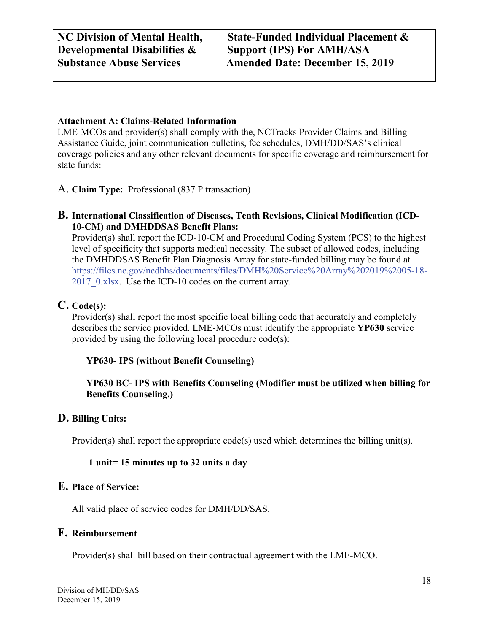#### **Attachment A: Claims-Related Information**

LME-MCOs and provider(s) shall comply with the, NCTracks Provider Claims and Billing Assistance Guide, joint communication bulletins, fee schedules, DMH/DD/SAS's clinical coverage policies and any other relevant documents for specific coverage and reimbursement for state funds:

A. **Claim Type:** Professional (837 P transaction)

#### **B. International Classification of Diseases, Tenth Revisions, Clinical Modification (ICD-10-CM) and DMHDDSAS Benefit Plans:**

Provider(s) shall report the ICD-10-CM and Procedural Coding System (PCS) to the highest level of specificity that supports medical necessity. The subset of allowed codes, including the DMHDDSAS Benefit Plan Diagnosis Array for state-funded billing may be found at [https://files.nc.gov/ncdhhs/documents/files/DMH%20Service%20Array%202019%2005-18-](https://files.nc.gov/ncdhhs/documents/files/DMH%20Service%20Array%202019%2005-18-2017_0.xlsx) 2017 0.xlsx. Use the ICD-10 codes on the current array.

#### **C. Code(s):**

Provider(s) shall report the most specific local billing code that accurately and completely describes the service provided. LME-MCOs must identify the appropriate **YP630** service provided by using the following local procedure code(s):

#### **YP630- IPS (without Benefit Counseling)**

**YP630 BC- IPS with Benefits Counseling (Modifier must be utilized when billing for Benefits Counseling.)**

#### **D. Billing Units:**

Provider(s) shall report the appropriate code(s) used which determines the billing unit(s).

#### **1 unit= 15 minutes up to 32 units a day**

#### **E. Place of Service:**

All valid place of service codes for DMH/DD/SAS.

#### **F. Reimbursement**

Provider(s) shall bill based on their contractual agreement with the LME-MCO.